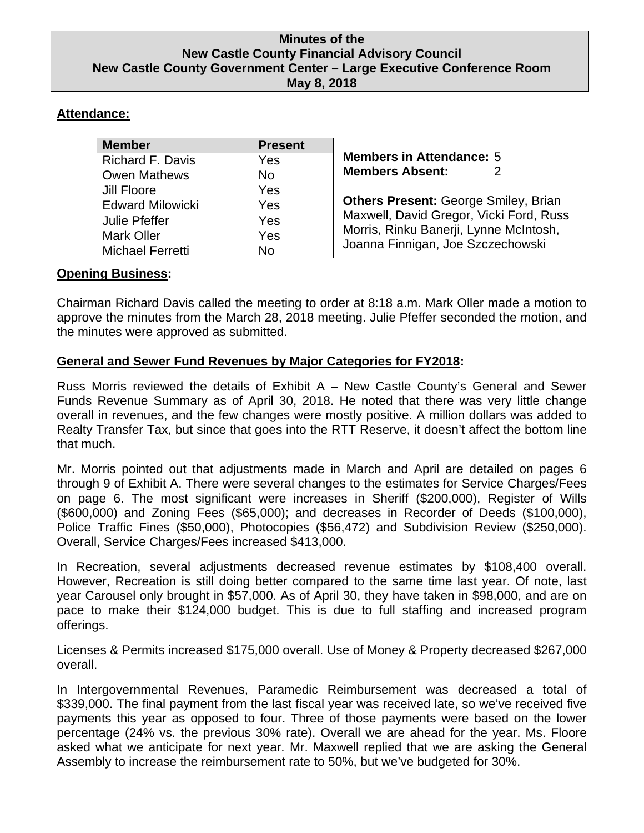### **Minutes of the New Castle County Financial Advisory Council New Castle County Government Center – Large Executive Conference Room May 8, 2018**

# **Attendance:**

| <b>Member</b>           | <b>Present</b> |
|-------------------------|----------------|
| <b>Richard F. Davis</b> | Yes            |
| <b>Owen Mathews</b>     | <b>No</b>      |
| Jill Floore             | Yes            |
| <b>Edward Milowicki</b> | Yes            |
| <b>Julie Pfeffer</b>    | Yes            |
| <b>Mark Oller</b>       | Yes            |
| Michael Ferretti        | No             |

**Members in Attendance:** 5 **Members Absent:** 2

**Others Present:** George Smiley, Brian Maxwell, David Gregor, Vicki Ford, Russ Morris, Rinku Banerji, Lynne McIntosh, Joanna Finnigan, Joe Szczechowski

## **Opening Business:**

Chairman Richard Davis called the meeting to order at 8:18 a.m. Mark Oller made a motion to approve the minutes from the March 28, 2018 meeting. Julie Pfeffer seconded the motion, and the minutes were approved as submitted.

# **General and Sewer Fund Revenues by Major Categories for FY2018:**

Russ Morris reviewed the details of Exhibit A – New Castle County's General and Sewer Funds Revenue Summary as of April 30, 2018. He noted that there was very little change overall in revenues, and the few changes were mostly positive. A million dollars was added to Realty Transfer Tax, but since that goes into the RTT Reserve, it doesn't affect the bottom line that much.

Mr. Morris pointed out that adjustments made in March and April are detailed on pages 6 through 9 of Exhibit A. There were several changes to the estimates for Service Charges/Fees on page 6. The most significant were increases in Sheriff (\$200,000), Register of Wills (\$600,000) and Zoning Fees (\$65,000); and decreases in Recorder of Deeds (\$100,000), Police Traffic Fines (\$50,000), Photocopies (\$56,472) and Subdivision Review (\$250,000). Overall, Service Charges/Fees increased \$413,000.

In Recreation, several adjustments decreased revenue estimates by \$108,400 overall. However, Recreation is still doing better compared to the same time last year. Of note, last year Carousel only brought in \$57,000. As of April 30, they have taken in \$98,000, and are on pace to make their \$124,000 budget. This is due to full staffing and increased program offerings.

Licenses & Permits increased \$175,000 overall. Use of Money & Property decreased \$267,000 overall.

In Intergovernmental Revenues, Paramedic Reimbursement was decreased a total of \$339,000. The final payment from the last fiscal year was received late, so we've received five payments this year as opposed to four. Three of those payments were based on the lower percentage (24% vs. the previous 30% rate). Overall we are ahead for the year. Ms. Floore asked what we anticipate for next year. Mr. Maxwell replied that we are asking the General Assembly to increase the reimbursement rate to 50%, but we've budgeted for 30%.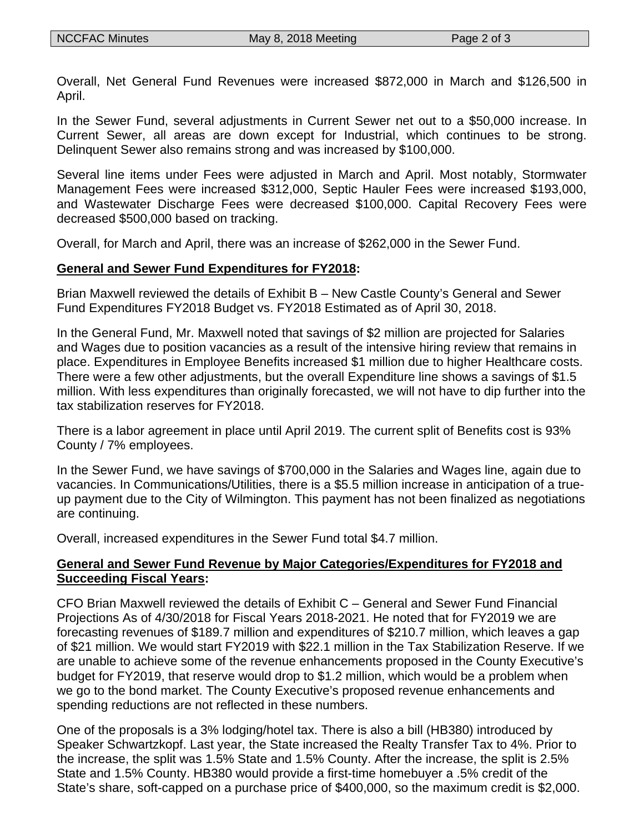Overall, Net General Fund Revenues were increased \$872,000 in March and \$126,500 in April.

In the Sewer Fund, several adjustments in Current Sewer net out to a \$50,000 increase. In Current Sewer, all areas are down except for Industrial, which continues to be strong. Delinquent Sewer also remains strong and was increased by \$100,000.

Several line items under Fees were adjusted in March and April. Most notably, Stormwater Management Fees were increased \$312,000, Septic Hauler Fees were increased \$193,000, and Wastewater Discharge Fees were decreased \$100,000. Capital Recovery Fees were decreased \$500,000 based on tracking.

Overall, for March and April, there was an increase of \$262,000 in the Sewer Fund.

## **General and Sewer Fund Expenditures for FY2018:**

Brian Maxwell reviewed the details of Exhibit B – New Castle County's General and Sewer Fund Expenditures FY2018 Budget vs. FY2018 Estimated as of April 30, 2018.

In the General Fund, Mr. Maxwell noted that savings of \$2 million are projected for Salaries and Wages due to position vacancies as a result of the intensive hiring review that remains in place. Expenditures in Employee Benefits increased \$1 million due to higher Healthcare costs. There were a few other adjustments, but the overall Expenditure line shows a savings of \$1.5 million. With less expenditures than originally forecasted, we will not have to dip further into the tax stabilization reserves for FY2018.

There is a labor agreement in place until April 2019. The current split of Benefits cost is 93% County / 7% employees.

In the Sewer Fund, we have savings of \$700,000 in the Salaries and Wages line, again due to vacancies. In Communications/Utilities, there is a \$5.5 million increase in anticipation of a trueup payment due to the City of Wilmington. This payment has not been finalized as negotiations are continuing.

Overall, increased expenditures in the Sewer Fund total \$4.7 million.

# **General and Sewer Fund Revenue by Major Categories/Expenditures for FY2018 and Succeeding Fiscal Years:**

CFO Brian Maxwell reviewed the details of Exhibit C – General and Sewer Fund Financial Projections As of 4/30/2018 for Fiscal Years 2018-2021. He noted that for FY2019 we are forecasting revenues of \$189.7 million and expenditures of \$210.7 million, which leaves a gap of \$21 million. We would start FY2019 with \$22.1 million in the Tax Stabilization Reserve. If we are unable to achieve some of the revenue enhancements proposed in the County Executive's budget for FY2019, that reserve would drop to \$1.2 million, which would be a problem when we go to the bond market. The County Executive's proposed revenue enhancements and spending reductions are not reflected in these numbers.

One of the proposals is a 3% lodging/hotel tax. There is also a bill (HB380) introduced by Speaker Schwartzkopf. Last year, the State increased the Realty Transfer Tax to 4%. Prior to the increase, the split was 1.5% State and 1.5% County. After the increase, the split is 2.5% State and 1.5% County. HB380 would provide a first-time homebuyer a .5% credit of the State's share, soft-capped on a purchase price of \$400,000, so the maximum credit is \$2,000.